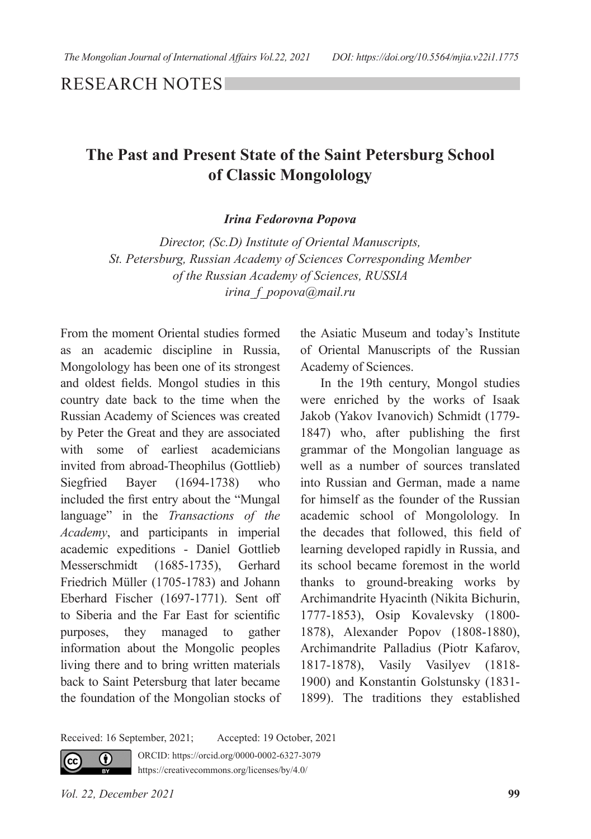RESEARCH NOTES

## **The Past and Present State of the Saint Petersburg School of Classic Mongolology**

*Irina Fedorovna Popova*

*Director, (Sc.D) Institute of Oriental Manuscripts, St. Petersburg, Russian Academy of Sciences Corresponding Member of the Russian Academy of Sciences, RUSSIA irina\_f\_popova@mail.ru*

From the moment Oriental studies formed as an academic discipline in Russia, Mongolology has been one of its strongest and oldest fields. Mongol studies in this country date back to the time when the Russian Academy of Sciences was created by Peter the Great and they are associated with some of earliest academicians invited from abroad-Theophilus (Gottlieb) Siegfried Bayer (1694-1738) who included the first entry about the "Mungal language" in the *Transactions of the Academy*, and participants in imperial academic expeditions - Daniel Gottlieb Messerschmidt (1685-1735), Gerhard Friedrich Müller (1705-1783) and Johann Eberhard Fischer (1697-1771). Sent off to Siberia and the Far East for scientific purposes, they managed to gather information about the Mongoliс peoples living there and to bring written materials back to Saint Petersburg that later became the foundation of the Mongolian stocks of the Asiatic Museum and today's Institute of Oriental Manuscripts of the Russian Academy of Sciences.

In the 19th century, Mongol studies were enriched by the works of Isaak Jakob (Yakov Ivanovich) Schmidt (1779- 1847) who, after publishing the first grammar of the Mongolian language as well as a number of sources translated into Russian and German, made a name for himself as the founder of the Russian academic school of Mongolology. In the decades that followed, this field of learning developed rapidly in Russia, and its school became foremost in the world thanks to ground-breaking works by Archimandrite Hyacinth (Nikita Bichurin, 1777-1853), Osip Kovalevsky (1800- 1878), Alexander Popov (1808-1880), Archimandrite Palladius (Piotr Kafarov, 1817-1878), Vasily Vasilyev (1818- 1900) and Konstantin Golstunsky (1831- 1899). The traditions they established

Received: 16 September, 2021; Accepted: 19 October, 2021

ORCID: https://orcid.org/0000-0002-6327-3079



https://creativecommons.org/licenses/by/4.0/

*Vol. 22, December 2021* **99**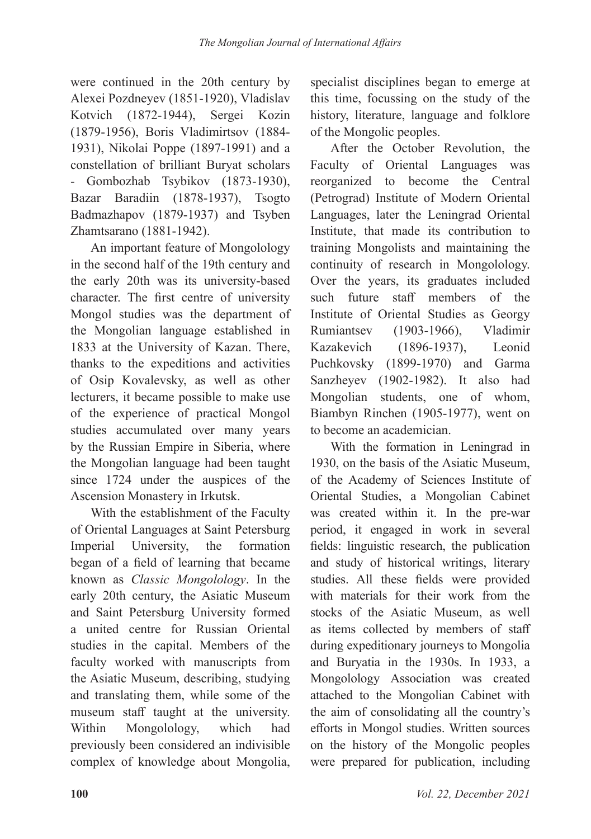were continued in the 20th century by Alexei Pozdneyev (1851-1920), Vladislav Kotvich (1872-1944), Sergei Kozin (1879-1956), Boris Vladimirtsov (1884- 1931), Nikolai Poppe (1897-1991) and a constellation of brilliant Buryat scholars - Gombozhab Tsybikov (1873-1930), Bazar Baradiin (1878-1937), Tsogto Badmazhapov (1879-1937) and Tsyben Zhamtsarano (1881-1942).

An important feature of Mongolology in the second half of the 19th century and the early 20th was its university-based character. The first centre of university Mongol studies was the department of the Mongolian language established in 1833 at the University of Kazan. There, thanks to the expeditions and activities of Osip Kovalevsky, as well as other lecturers, it became possible to make use of the experience of practical Mongol studies accumulated over many years by the Russian Empire in Siberia, where the Mongolian language had been taught since 1724 under the auspices of the Ascension Monastery in Irkutsk.

With the establishment of the Faculty of Oriental Languages at Saint Petersburg Imperial University, the formation began of a field of learning that became known as *Classic Mongolology*. In the early 20th century, the Asiatic Museum and Saint Petersburg University formed a united centre for Russian Oriental studies in the capital. Members of the faculty worked with manuscripts from the Asiatic Museum, describing, studying and translating them, while some of the museum staff taught at the university. Within Mongolology, which had previously been considered an indivisible complex of knowledge about Mongolia,

specialist disciplines began to emerge at this time, focussing on the study of the history, literature, language and folklore of the Mongoliс peoples.

After the October Revolution, the Faculty of Oriental Languages was reorganized to become the Central (Petrograd) Institute of Modern Oriental Languages, later the Leningrad Oriental Institute, that made its contribution to training Mongolists and maintaining the continuity of research in Mongolology. Over the years, its graduates included such future staff members of the Institute of Oriental Studies as Georgy Rumiantsev (1903-1966), Vladimir Kazakevich (1896-1937), Leonid Puchkovsky (1899-1970) and Garma Sanzheyev (1902-1982). It also had Mongolian students, one of whom, Biambyn Rinchen (1905-1977), went on to become an academician.

With the formation in Leningrad in 1930, on the basis of the Asiatic Museum, of the Academy of Sciences Institute of Oriental Studies, a Mongolian Cabinet was created within it. In the pre-war period, it engaged in work in several fields: linguistic research, the publication and study of historical writings, literary studies. All these fields were provided with materials for their work from the stocks of the Asiatic Museum, as well as items collected by members of staff during expeditionary journeys to Mongolia and Buryatia in the 1930s. In 1933, a Mongolology Association was created attached to the Mongolian Cabinet with the aim of consolidating all the country's efforts in Mongol studies. Written sources on the history of the Mongoliс peoples were prepared for publication, including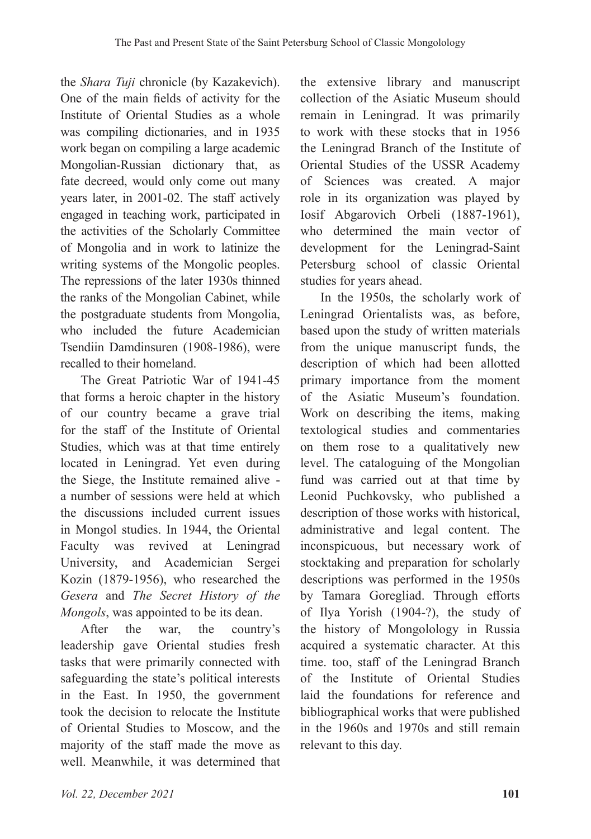the *Shara Tuji* chronicle (by Kazakevich). One of the main fields of activity for the Institute of Oriental Studies as a whole was compiling dictionaries, and in 1935 work began on compiling a large academic Mongolian-Russian dictionary that, as fate decreed, would only come out many years later, in 2001-02. The staff actively engaged in teaching work, participated in the activities of the Scholarly Committee of Mongolia and in work to latinize the writing systems of the Mongolic peoples. The repressions of the later 1930s thinned the ranks of the Mongolian Cabinet, while the postgraduate students from Mongolia, who included the future Academician Tsendiin Damdinsuren (1908-1986), were recalled to their homeland.

The Great Patriotic War of 1941-45 that forms a heroic chapter in the history of our country became a grave trial for the staff of the Institute of Oriental Studies, which was at that time entirely located in Leningrad. Yet even during the Siege, the Institute remained alive a number of sessions were held at which the discussions included current issues in Mongol studies. In 1944, the Oriental Faculty was revived at Leningrad University, and Academician Sergei Kozin (1879-1956), who researched the *Gesera* and *The Secret History of the Mongols*, was appointed to be its dean.

After the war, the country's leadership gave Oriental studies fresh tasks that were primarily connected with safeguarding the state's political interests in the East. In 1950, the government took the decision to relocate the Institute of Oriental Studies to Moscow, and the majority of the staff made the move as well. Meanwhile, it was determined that

the extensive library and manuscript collection of the Asiatic Museum should remain in Leningrad. It was primarily to work with these stocks that in 1956 the Leningrad Branch of the Institute of Oriental Studies of the USSR Academy of Sciences was created. A major role in its organization was played by Iosif Abgarovich Orbeli (1887-1961), who determined the main vector of development for the Leningrad-Saint Petersburg school of classic Oriental studies for years ahead.

In the 1950s, the scholarly work of Leningrad Orientalists was, as before, based upon the study of written materials from the unique manuscript funds, the description of which had been allotted primary importance from the moment of the Asiatic Museum's foundation. Work on describing the items, making textological studies and commentaries on them rose to a qualitatively new level. The cataloguing of the Mongolian fund was carried out at that time by Leonid Puchkovsky, who published a description of those works with historical, administrative and legal content. The inconspicuous, but necessary work of stocktaking and preparation for scholarly descriptions was performed in the 1950s by Tamara Goregliad. Through efforts of Ilya Yorish (1904-?), the study of the history of Mongolology in Russia acquired a systematic character. At this time. too, staff of the Leningrad Branch of the Institute of Oriental Studies laid the foundations for reference and bibliographical works that were published in the 1960s and 1970s and still remain relevant to this day.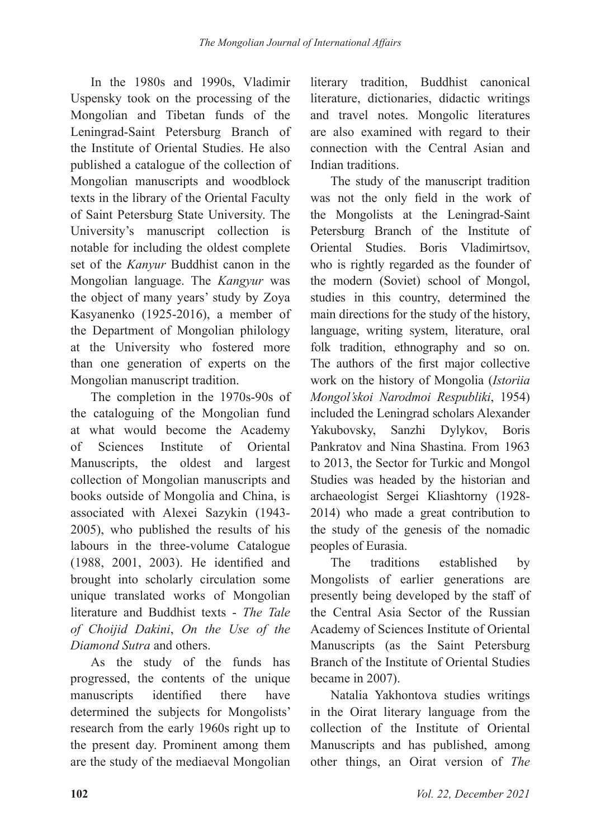In the 1980s and 1990s, Vladimir Uspensky took on the processing of the Mongolian and Tibetan funds of the Leningrad-Saint Petersburg Branch of the Institute of Oriental Studies. He also published a catalogue of the collection of Mongolian manuscripts and woodblock texts in the library of the Oriental Faculty of Saint Petersburg State University. The University's manuscript collection is notable for including the oldest complete set of the *Kanyur* Buddhist canon in the Mongolian language. The *Kangyur* was the object of many years' study by Zoya Kasyanenko (1925-2016), a member of the Department of Mongolian philology at the University who fostered more than one generation of experts on the Mongolian manuscript tradition.

The completion in the 1970s-90s of the cataloguing of the Mongolian fund at what would become the Academy of Sciences Institute of Oriental Manuscripts, the oldest and largest collection of Mongolian manuscripts and books outside of Mongolia and China, is associated with Alexei Sazykin (1943- 2005), who published the results of his labours in the three-volume Catalogue (1988, 2001, 2003). He identified and brought into scholarly circulation some unique translated works of Mongolian literature and Buddhist texts - *The Tale of Choijid Dakini*, *On the Use of the Diamond Sutra* and others.

As the study of the funds has progressed, the contents of the unique manuscripts identified there have determined the subjects for Mongolists' research from the early 1960s right up to the present day. Prominent among them are the study of the mediaeval Mongolian literary tradition, Buddhist canonical literature, dictionaries, didactic writings and travel notes. Mongolic literatures are also examined with regard to their connection with the Central Asian and Indian traditions.

The study of the manuscript tradition was not the only field in the work of the Mongolists at the Leningrad-Saint Petersburg Branch of the Institute of Oriental Studies. Boris Vladimirtsov, who is rightly regarded as the founder of the modern (Soviet) school of Mongol, studies in this country, determined the main directions for the study of the history, language, writing system, literature, oral folk tradition, ethnography and so on. The authors of the first major collective work on the history of Mongolia (*Istoriia Mongol'skoi Narodmoi Respubliki*, 1954) included the Leningrad scholars Alexander Yakubovsky, Sanzhi Dylykov, Boris Pankratov and Nina Shastina. From 1963 to 2013, the Sector for Turkic and Mongol Studies was headed by the historian and archaeologist Sergei Kliashtorny (1928- 2014) who made a great contribution to the study of the genesis of the nomadic peoples of Eurasia.

The traditions established by Mongolists of earlier generations are presently being developed by the staff of the Central Asia Sector of the Russian Academy of Sciences Institute of Oriental Manuscripts (as the Saint Petersburg Branch of the Institute of Oriental Studies became in 2007).

Natalia Yakhontova studies writings in the Oirat literary language from the collection of the Institute of Oriental Manuscripts and has published, among other things, an Oirat version of *The*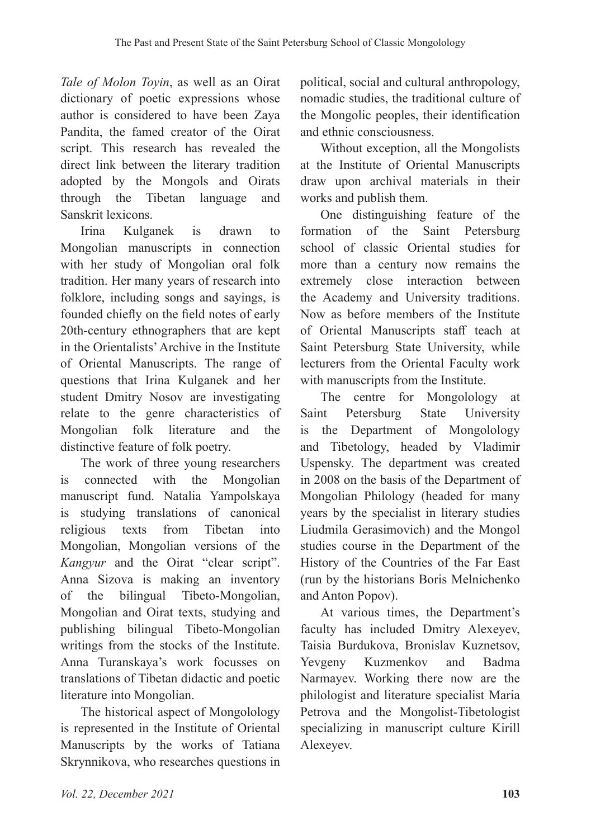*Tale of Molon Toyin*, as well as an Oirat dictionary of poetic expressions whose author is considered to have been Zaya Pandita, the famed creator of the Oirat script. This research has revealed the direct link between the literary tradition adopted by the Mongols and Oirats through the Tibetan language and Sanskrit lexicons.

Irina Kulganek is drawn to Mongolian manuscripts in connection with her study of Mongolian oral folk tradition. Her many years of research into folklore, including songs and sayings, is founded chiefly on the field notes of early 20th-century ethnographers that are kept in the Orientalists' Archive in the Institute of Oriental Manuscripts. The range of questions that Irina Kulganek and her student Dmitry Nosov are investigating relate to the genre characteristics of Mongolian folk literature and the distinctive feature of folk poetry.

The work of three young researchers is connected with the Mongolian manuscript fund. Natalia Yampolskaya is studying translations of canonical religious texts from Tibetan into Mongolian, Mongolian versions of the *Kangyur* and the Oirat "clear script". Anna Sizova is making an inventory of the bilingual Tibeto-Mongolian, Mongolian and Oirat texts, studying and publishing bilingual Tibeto-Mongolian writings from the stocks of the Institute. Anna Turanskaya's work focusses on translations of Tibetan didactic and poetic literature into Mongolian.

The historical aspect of Mongolology is represented in the Institute of Oriental Manuscripts by the works of Tatiana Skrynnikova, who researches questions in

political, social and cultural anthropology, nomadic studies, the traditional culture of the Mongolic peoples, their identification and ethnic consciousness.

Without exception, all the Mongolists at the Institute of Oriental Manuscripts draw upon archival materials in their works and publish them.

One distinguishing feature of the formation of the Saint Petersburg school of classic Oriental studies for more than a century now remains the extremely close interaction between the Academy and University traditions. Now as before members of the Institute of Oriental Manuscripts staff teach at Saint Petersburg State University, while lecturers from the Oriental Faculty work with manuscripts from the Institute.

The centre for Mongolology at Saint Petersburg State University is the Department of Mongolology and Tibetology, headed by Vladimir Uspensky. The department was created in 2008 on the basis of the Department of Mongolian Philology (headed for many years by the specialist in literary studies Liudmila Gerasimovich) and the Mongol studies course in the Department of the History of the Countries of the Far East (run by the historians Boris Melnichenko and Anton Popov).

At various times, the Department's faculty has included Dmitry Alexeyev, Taisia Burdukova, Bronislav Kuznetsov, Yevgeny Kuzmenkov and Badma Narmayev. Working there now are the philologist and literature specialist Maria Petrova and the Mongolist-Tibetologist specializing in manuscript culture Kirill Alexeyev.